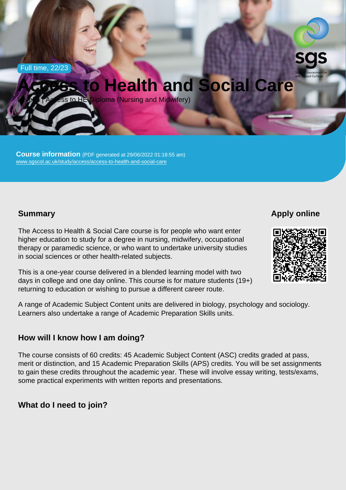Full time, 22/23

# Access to Health and Social Care

Level 3 | Access to HE Diploma (Nursing and Midwifery)

Course information (PDF generated at 29/06/2022 01:18:55 am) [www.sgscol.ac.uk/study/access/access-to-health-and-social-care](https://www.sgscol.ac.uk/study/access/access-to-health-and-social-care)

## **Summary**

Apply online

The Access to Health & Social Care course is for people who want enter higher education to study for a degree in nursing, midwifery, occupational therapy or paramedic science, or who want to undertake university studies in social sciences or other health-related subjects.

This is a one-year course delivered in a blended learning model with two days in college and one day online. This course is for mature students (19+) returning to education or wishing to pursue a different career route.

A range of Academic Subject Content units are delivered in biology, psychology and sociology. Learners also undertake a range of Academic Preparation Skills units.

How will I know how I am doing?

The course consists of 60 credits: 45 Academic Subject Content (ASC) credits graded at pass, merit or distinction, and 15 Academic Preparation Skills (APS) credits. You will be set assignments to gain these credits throughout the academic year. These will involve essay writing, tests/exams, some practical experiments with written reports and presentations.

What do I need to join?